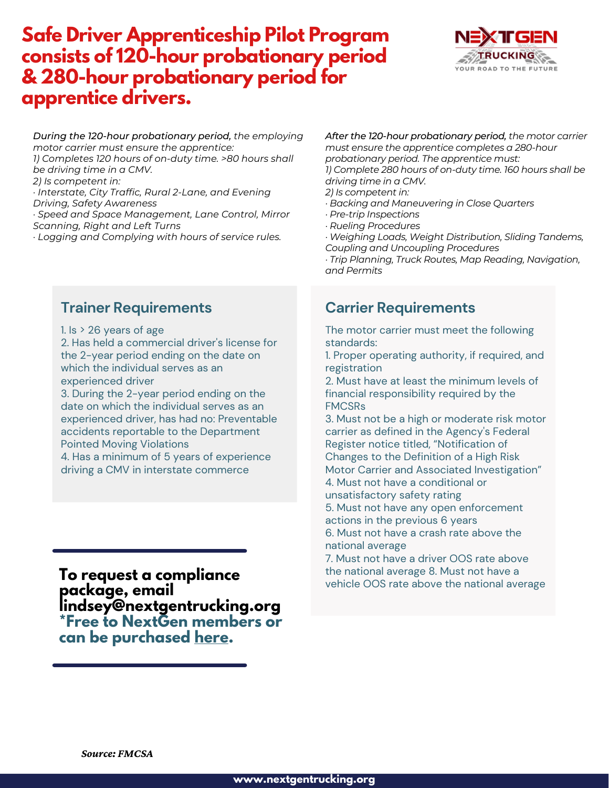# **Safe Driver Apprenticeship Pilot Program consists of 120-hour probationary period & 280-hour probationary period for apprentice drivers.**



*During the 120-hour probationary period, the employing motor carrier must ensure the apprentice: 1) Completes 120 hours of on-duty time. >80 hours shall be driving time in a CMV. 2) Is competent in: · Interstate, City Traffic, Rural 2-Lane, and Evening Driving, Safety Awareness*

*· Speed and Space Management, Lane Control, Mirror Scanning, Right and Left Turns*

*· Logging and Complying with hours of service rules.*

#### **Trainer Requirements**

1. Is  $>$  26 years of age

2. Has held a commercial driver's license for the 2-year period ending on the date on which the individual serves as an experienced driver

3. During the 2-year period ending on the date on which the individual serves as an experienced driver, has had no: Preventable accidents reportable to the Department Pointed Moving Violations

4. Has a minimum of 5 years of experience driving a CMV in interstate commerce

**To request a compliance package, email lindsey@nextgentrucking.org \*Free to NextGen members or can be purchased [here.](https://www.trucksafeconsulting.com/product-page/18-21-apprenticeship-program-package)**

*After the 120-hour probationary period, the motor carrier must ensure the apprentice completes a 280-hour probationary period. The apprentice must: 1) Complete 280 hours of on-duty time. 160 hours shall be driving time in a CMV.*

- *2) Is competent in:*
- *· Backing and Maneuvering in Close Quarters*
- *· Pre-trip Inspections*
- *· Rueling Procedures*
- *· Weighing Loads, Weight Distribution, Sliding Tandems, Coupling and Uncoupling Procedures*

*· Trip Planning, Truck Routes, Map Reading, Navigation, and Permits*

### **Carrier Requirements**

The motor carrier must meet the following standards:

1. Proper operating authority, if required, and registration

2. Must have at least the minimum levels of financial responsibility required by the FMCSRs

3. Must not be a high or moderate risk motor carrier as defined in the Agency's Federal Register notice titled, "Notification of Changes to the Definition of a High Risk

Motor Carrier and Associated Investigation" 4. Must not have a conditional or

unsatisfactory safety rating

5. Must not have any open enforcement actions in the previous 6 years

6. Must not have a crash rate above the national average

7. Must not have a driver OOS rate above the national average 8. Must not have a vehicle OOS rate above the national average